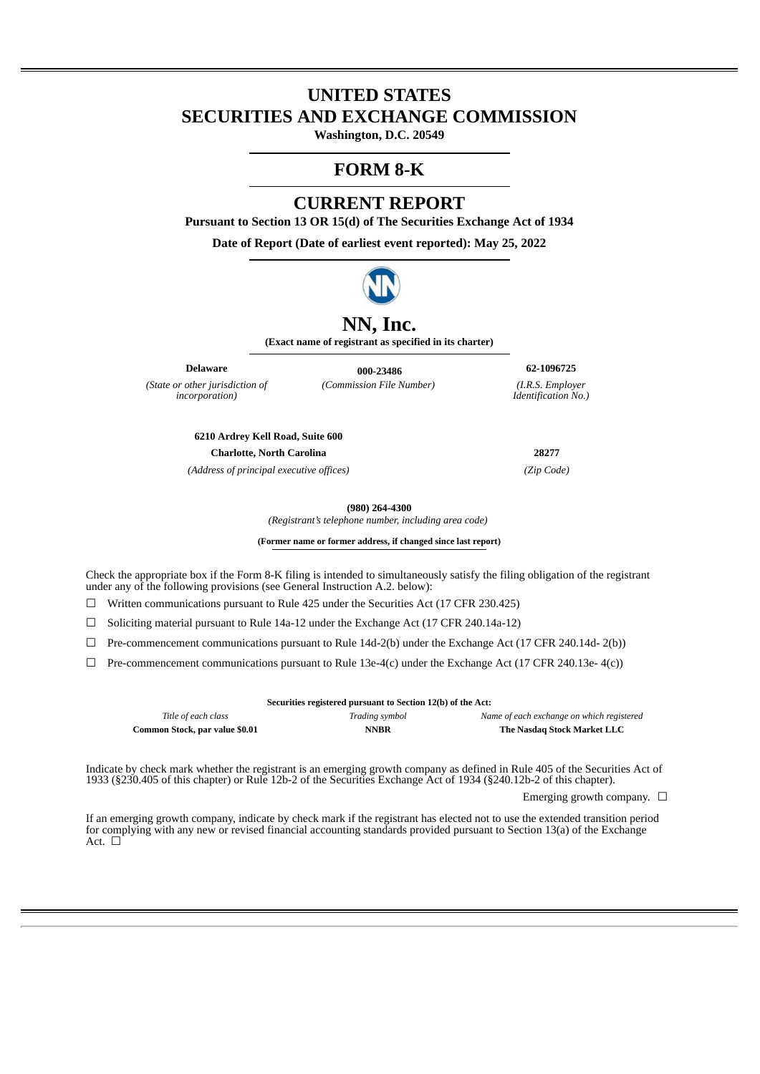# **UNITED STATES SECURITIES AND EXCHANGE COMMISSION**

**Washington, D.C. 20549**

# **FORM 8-K**

# **CURRENT REPORT**

**Pursuant to Section 13 OR 15(d) of The Securities Exchange Act of 1934**

**Date of Report (Date of earliest event reported): May 25, 2022**



# **NN, Inc.**

**(Exact name of registrant as specified in its charter)**

*(State or other jurisdiction of incorporation)*

**Delaware 000-23486 62-1096725** *(Commission File Number) (I.R.S. Employer*

*Identification No.)*

**6210 Ardrey Kell Road, Suite 600 Charlotte, North Carolina 28277**

*(Address of principal executive offices) (Zip Code)*

**(980) 264-4300**

*(Registrant's telephone number, including area code)* 

**(Former name or former address, if changed since last report)**

Check the appropriate box if the Form 8-K filing is intended to simultaneously satisfy the filing obligation of the registrant under any of the following provisions (see General Instruction A.2. below):

☐ Written communications pursuant to Rule 425 under the Securities Act (17 CFR 230.425)

 $\Box$  Soliciting material pursuant to Rule 14a-12 under the Exchange Act (17 CFR 240.14a-12)

 $\Box$  Pre-commencement communications pursuant to Rule 14d-2(b) under the Exchange Act (17 CFR 240.14d- 2(b))

 $\Box$  Pre-commencement communications pursuant to Rule 13e-4(c) under the Exchange Act (17 CFR 240.13e-4(c))

| Securities registered pursuant to Section 12(b) of the Act: |                |                                           |
|-------------------------------------------------------------|----------------|-------------------------------------------|
| Title of each class                                         | Trading symbol | Name of each exchange on which registered |
| Common Stock, par value \$0.01                              | <b>NNBR</b>    | The Nasdag Stock Market LLC               |

Indicate by check mark whether the registrant is an emerging growth company as defined in Rule 405 of the Securities Act of 1933 (§230.405 of this chapter) or Rule 12b-2 of the Securities Exchange Act of 1934 (§240.12b-2 of this chapter).

Emerging growth company.  $\Box$ 

If an emerging growth company, indicate by check mark if the registrant has elected not to use the extended transition period for complying with any new or revised financial accounting standards provided pursuant to Section 13(a) of the Exchange Act. □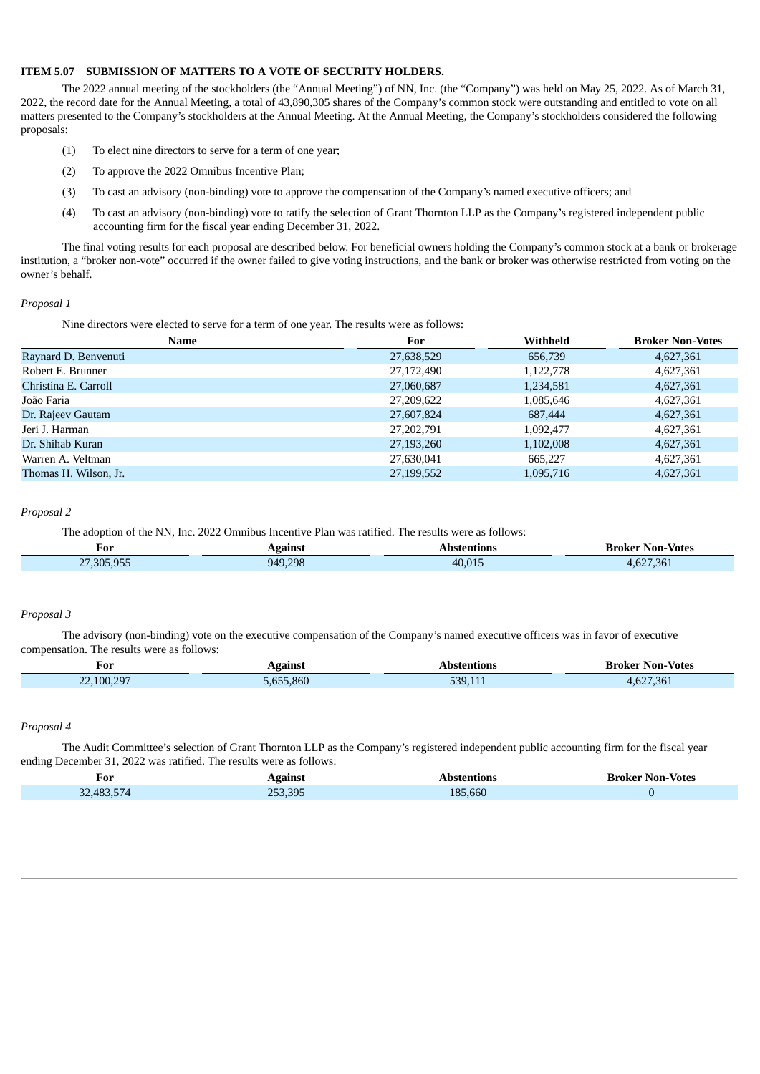#### **ITEM 5.07 SUBMISSION OF MATTERS TO A VOTE OF SECURITY HOLDERS.**

The 2022 annual meeting of the stockholders (the "Annual Meeting") of NN, Inc. (the "Company") was held on May 25, 2022. As of March 31, 2022, the record date for the Annual Meeting, a total of 43,890,305 shares of the Company's common stock were outstanding and entitled to vote on all matters presented to the Company's stockholders at the Annual Meeting. At the Annual Meeting, the Company's stockholders considered the following proposals:

- (1) To elect nine directors to serve for a term of one year;
- (2) To approve the 2022 Omnibus Incentive Plan;
- (3) To cast an advisory (non-binding) vote to approve the compensation of the Company's named executive officers; and
- (4) To cast an advisory (non-binding) vote to ratify the selection of Grant Thornton LLP as the Company's registered independent public accounting firm for the fiscal year ending December 31, 2022.

The final voting results for each proposal are described below. For beneficial owners holding the Company's common stock at a bank or brokerage institution, a "broker non-vote" occurred if the owner failed to give voting instructions, and the bank or broker was otherwise restricted from voting on the owner's behalf.

#### *Proposal 1*

Nine directors were elected to serve for a term of one year. The results were as follows:

| Name                  | For        | Withheld  | <b>Broker Non-Votes</b> |
|-----------------------|------------|-----------|-------------------------|
| Raynard D. Benvenuti  | 27,638,529 | 656,739   | 4,627,361               |
| Robert E. Brunner     | 27,172,490 | 1,122,778 | 4,627,361               |
| Christina E. Carroll  | 27,060,687 | 1,234,581 | 4,627,361               |
| João Faria            | 27,209,622 | 1,085,646 | 4,627,361               |
| Dr. Rajeev Gautam     | 27,607,824 | 687,444   | 4,627,361               |
| Jeri J. Harman        | 27,202,791 | 1,092,477 | 4,627,361               |
| Dr. Shihab Kuran      | 27,193,260 | 1,102,008 | 4,627,361               |
| Warren A. Veltman     | 27,630,041 | 665.227   | 4,627,361               |
| Thomas H. Wilson, Jr. | 27,199,552 | 1,095,716 | 4,627,361               |

#### *Proposal 2*

The adoption of the NN, Inc. 2022 Omnibus Incentive Plan was ratified. The results were as follows:

| For                      | gains.  | etanı  | 3roker Non-Votes |
|--------------------------|---------|--------|------------------|
| 305 955<br>$\sim$ $\sim$ | 949.298 | 40.015 | 627.361<br>n/1   |

#### *Proposal 3*

The advisory (non-binding) vote on the executive compensation of the Company's named executive officers was in favor of executive compensation. The results were as follows:

| For<br>$\sim$ $\sim$                                                                                                                                                                                     | gainst                          | ntions                                                                                                                          | - Votes<br>Broker<br>Non- |
|----------------------------------------------------------------------------------------------------------------------------------------------------------------------------------------------------------|---------------------------------|---------------------------------------------------------------------------------------------------------------------------------|---------------------------|
| $\mathcal{L}^{\text{max}}_{\text{max}}$ and $\mathcal{L}^{\text{max}}_{\text{max}}$ and $\mathcal{L}^{\text{max}}_{\text{max}}$<br>0.05<br>$\sim$ $\sim$<br>100 <sup>1</sup><br>$\overline{\mathcal{L}}$ | 5.860<br>----<br>$\blacksquare$ | 530.<br>$\mathcal{L}(\mathcal{L})$ and $\mathcal{L}(\mathcal{L})$ and $\mathcal{L}(\mathcal{L})$ and $\mathcal{L}(\mathcal{L})$ | $CDH$ $DQ$                |

### *Proposal 4*

The Audit Committee's selection of Grant Thornton LLP as the Company's registered independent public accounting firm for the fiscal year ending December 31, 2022 was ratified. The results were as follows:

| r'or<br>___                                                                                                                                                                            | Agains                                                | Abstentions           | Non-Votes<br>sroker<br>. |
|----------------------------------------------------------------------------------------------------------------------------------------------------------------------------------------|-------------------------------------------------------|-----------------------|--------------------------|
| <b>Contract Contract Contract Contract Contract Contract Contract Contract Contract Contract Contract Contract Co</b><br><b>Service Service</b><br>$\sim$<br>$AB^{\circ}$<br>$-$<br>ےر | <b>Service Service</b><br>$n - r$<br>$\Omega$<br>3. G | 000<br>$-18F$<br>.hhU |                          |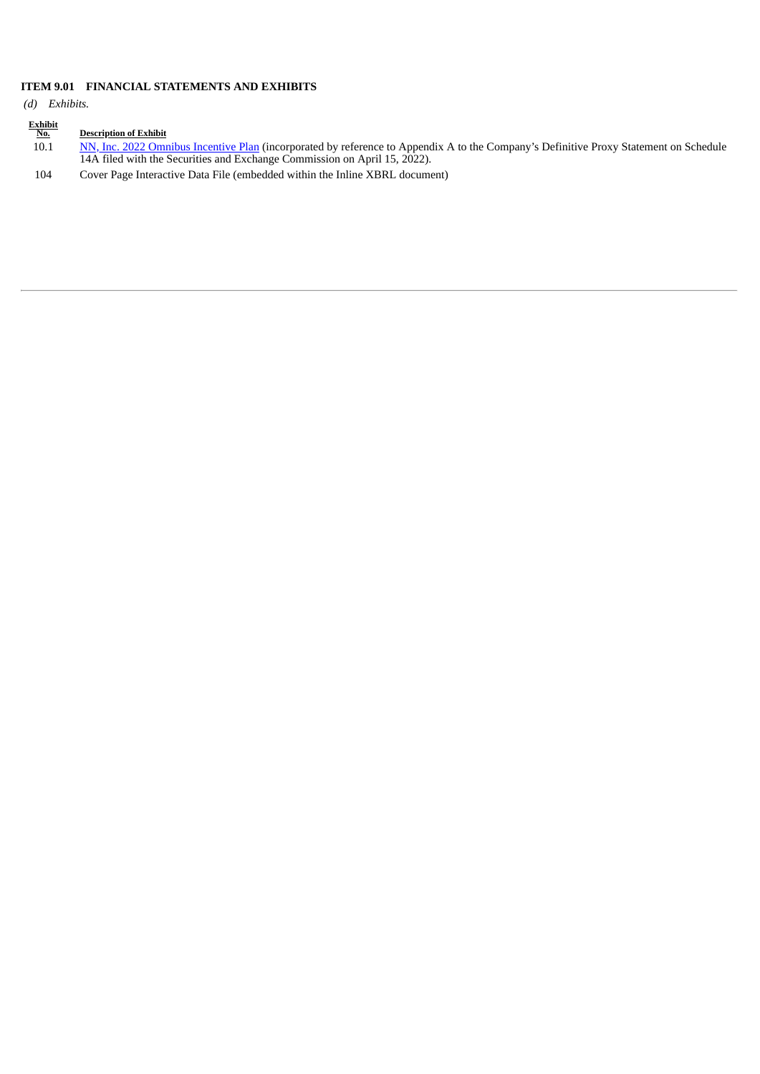## **ITEM 9.01 FINANCIAL STATEMENTS AND EXHIBITS**

*(d) Exhibits.*

| $\frac{Exhibit}{No.}$ | <b>Description of Exhibit</b>                                                                                                                                                                                      |
|-----------------------|--------------------------------------------------------------------------------------------------------------------------------------------------------------------------------------------------------------------|
| 10.1                  | NN, Inc. 2022 Omnibus Incentive Plan (incorporated by reference to Appendix A to the Company's Definitive Proxy Statement on Schedule<br>14A filed with the Securities and Exchange Commission on April 15, 2022). |
| 104                   | Cover Page Interactive Data File (embedded within the Inline XBRL document)                                                                                                                                        |